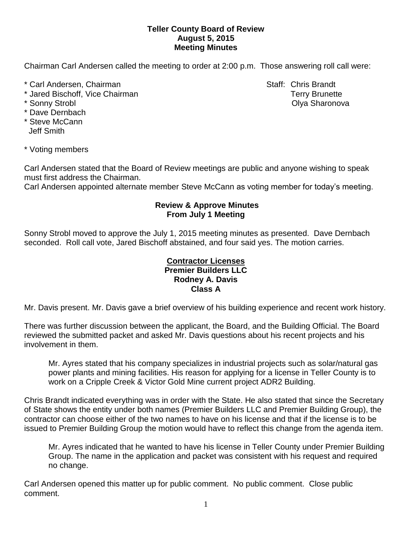## **Teller County Board of Review August 5, 2015 Meeting Minutes**

Chairman Carl Andersen called the meeting to order at 2:00 p.m. Those answering roll call were:

- \* Carl Andersen, Chairman Staff: Chris Brandt
- \* Jared Bischoff, Vice Chairman Terry Brunette
- 
- \* Dave Dernbach
- \* Steve McCann Jeff Smith

\* Voting members

Carl Andersen stated that the Board of Review meetings are public and anyone wishing to speak must first address the Chairman.

Carl Andersen appointed alternate member Steve McCann as voting member for today's meeting.

## **Review & Approve Minutes From July 1 Meeting**

Sonny Strobl moved to approve the July 1, 2015 meeting minutes as presented. Dave Dernbach seconded.Roll call vote, Jared Bischoff abstained, and four said yes. The motion carries.

## **Contractor Licenses Premier Builders LLC Rodney A. Davis Class A**

Mr. Davis present. Mr. Davis gave a brief overview of his building experience and recent work history.

There was further discussion between the applicant, the Board, and the Building Official. The Board reviewed the submitted packet and asked Mr. Davis questions about his recent projects and his involvement in them.

Mr. Ayres stated that his company specializes in industrial projects such as solar/natural gas power plants and mining facilities. His reason for applying for a license in Teller County is to work on a Cripple Creek & Victor Gold Mine current project ADR2 Building.

Chris Brandt indicated everything was in order with the State. He also stated that since the Secretary of State shows the entity under both names (Premier Builders LLC and Premier Building Group), the contractor can choose either of the two names to have on his license and that if the license is to be issued to Premier Building Group the motion would have to reflect this change from the agenda item.

Mr. Ayres indicated that he wanted to have his license in Teller County under Premier Building Group. The name in the application and packet was consistent with his request and required no change.

Carl Andersen opened this matter up for public comment. No public comment. Close public comment.

\* Sonny Strobl Olya Sharonova